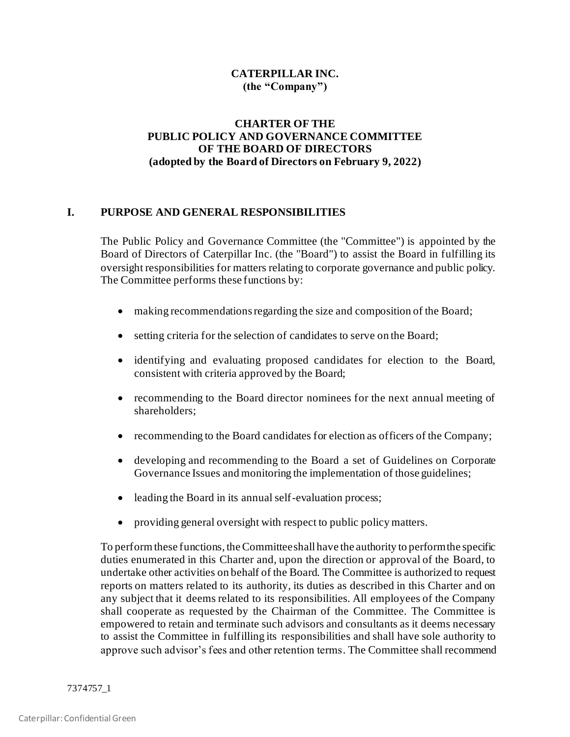# **CATERPILLAR INC. (the "Company")**

# **CHARTER OF THE PUBLIC POLICY AND GOVERNANCE COMMITTEE OF THE BOARD OF DIRECTORS (adopted by the Board of Directors on February 9, 2022)**

# **I. PURPOSE AND GENERAL RESPONSIBILITIES**

The Public Policy and Governance Committee (the "Committee") is appointed by the Board of Directors of Caterpillar Inc. (the "Board") to assist the Board in fulfilling its oversight responsibilities for matters relating to corporate governance and public policy. The Committee performs these functions by:

- making recommendations regarding the size and composition of the Board;
- setting criteria for the selection of candidates to serve on the Board;
- identifying and evaluating proposed candidates for election to the Board, consistent with criteria approved by the Board;
- recommending to the Board director nominees for the next annual meeting of shareholders;
- recommending to the Board candidates for election as officers of the Company;
- developing and recommending to the Board a set of Guidelines on Corporate Governance Issues and monitoring the implementation of those guidelines;
- leading the Board in its annual self-evaluation process;
- providing general oversight with respect to public policy matters.

To perform these functions, the Committee shall have the authority to perform the specific duties enumerated in this Charter and, upon the direction or approval of the Board, to undertake other activities on behalf of the Board. The Committee is authorized to request reports on matters related to its authority, its duties as described in this Charter and on any subject that it deems related to its responsibilities. All employees of the Company shall cooperate as requested by the Chairman of the Committee. The Committee is empowered to retain and terminate such advisors and consultants as it deems necessary to assist the Committee in fulfilling its responsibilities and shall have sole authority to approve such advisor's fees and other retention terms. The Committee shall recommend

7374757\_1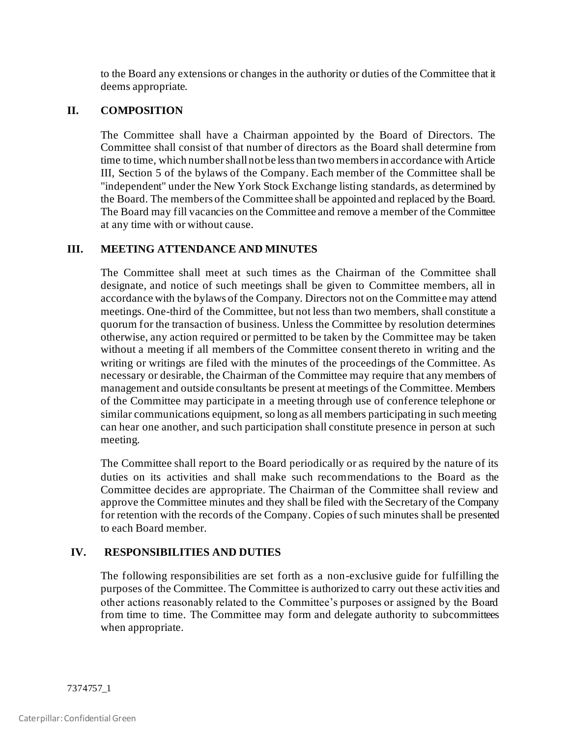to the Board any extensions or changes in the authority or duties of the Committee that it deems appropriate.

# **II. COMPOSITION**

The Committee shall have a Chairman appointed by the Board of Directors. The Committee shall consist of that number of directors as the Board shall determine from time to time, which number shall not be less than two members in accordance with Article III, Section 5 of the bylaws of the Company. Each member of the Committee shall be "independent" under the New York Stock Exchange listing standards, as determined by the Board. The members of the Committee shall be appointed and replaced by the Board. The Board may fill vacancies on the Committee and remove a member of the Committee at any time with or without cause.

# **III. MEETING ATTENDANCE AND MINUTES**

The Committee shall meet at such times as the Chairman of the Committee shall designate, and notice of such meetings shall be given to Committee members, all in accordance with the bylaws of the Company. Directors not on the Committee may attend meetings. One-third of the Committee, but not less than two members, shall constitute a quorum for the transaction of business. Unless the Committee by resolution determines otherwise, any action required or permitted to be taken by the Committee may be taken without a meeting if all members of the Committee consent thereto in writing and the writing or writings are filed with the minutes of the proceedings of the Committee. As necessary or desirable, the Chairman of the Committee may require that any members of management and outside consultants be present at meetings of the Committee. Members of the Committee may participate in a meeting through use of conference telephone or similar communications equipment, so long as all members participating in such meeting can hear one another, and such participation shall constitute presence in person at such meeting.

The Committee shall report to the Board periodically or as required by the nature of its duties on its activities and shall make such recommendations to the Board as the Committee decides are appropriate. The Chairman of the Committee shall review and approve the Committee minutes and they shall be filed with the Secretary of the Company for retention with the records of the Company. Copies of such minutes shall be presented to each Board member.

# **IV. RESPONSIBILITIES AND DUTIES**

The following responsibilities are set forth as a non-exclusive guide for fulfilling the purposes of the Committee. The Committee is authorized to carry out these activities and other actions reasonably related to the Committee's purposes or assigned by the Board from time to time. The Committee may form and delegate authority to subcommittees when appropriate.

7374757\_1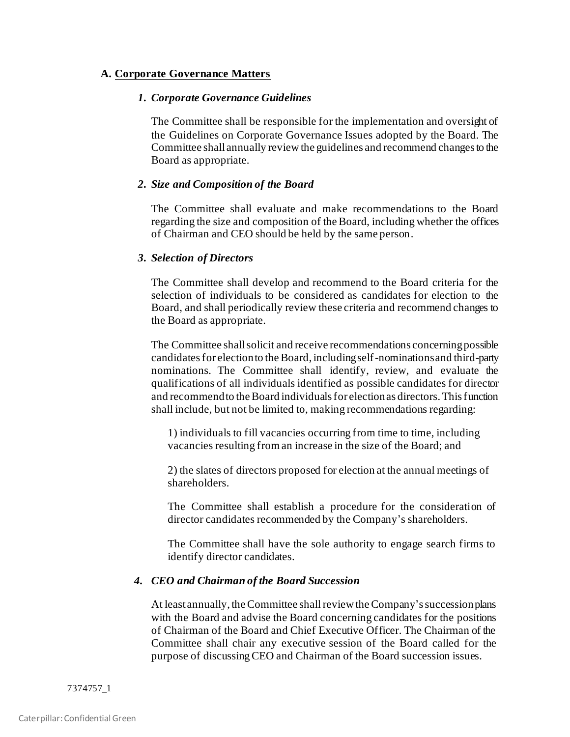# **A. Corporate Governance Matters**

#### *1. Corporate Governance Guidelines*

The Committee shall be responsible for the implementation and oversight of the Guidelines on Corporate Governance Issues adopted by the Board. The Committee shall annually review the guidelines and recommend changes to the Board as appropriate.

#### *2. Size and Composition of the Board*

The Committee shall evaluate and make recommendations to the Board regarding the size and composition of the Board, including whether the offices of Chairman and CEO should be held by the same person.

#### *3. Selection of Directors*

The Committee shall develop and recommend to the Board criteria for the selection of individuals to be considered as candidates for election to the Board, and shall periodically review these criteria and recommend changes to the Board as appropriate.

The Committee shall solicit and receive recommendations concerning possible candidates for election to the Board, including self-nominations and third-party nominations. The Committee shall identify, review, and evaluate the qualifications of all individuals identified as possible candidates for director and recommend to the Board individuals for election as directors. This function shall include, but not be limited to, making recommendations regarding:

1) individuals to fill vacancies occurring from time to time, including vacancies resulting from an increase in the size of the Board; and

2) the slates of directors proposed for election at the annual meetings of shareholders.

The Committee shall establish a procedure for the consideration of director candidates recommended by the Company's shareholders.

The Committee shall have the sole authority to engage search firms to identify director candidates.

### *4. CEO and Chairman of the Board Succession*

At least annually, the Committee shall review the Company's succession plans with the Board and advise the Board concerning candidates for the positions of Chairman of the Board and Chief Executive Officer. The Chairman of the Committee shall chair any executive session of the Board called for the purpose of discussing CEO and Chairman of the Board succession issues.

7374757\_1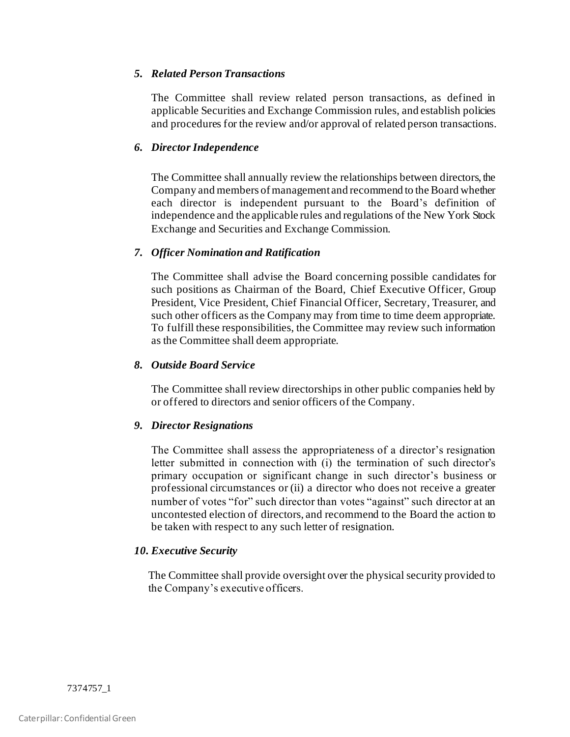## *5. Related Person Transactions*

The Committee shall review related person transactions, as defined in applicable Securities and Exchange Commission rules, and establish policies and procedures for the review and/or approval of related person transactions.

# *6. Director Independence*

The Committee shall annually review the relationships between directors, the Company and members of management and recommend to the Board whether each director is independent pursuant to the Board's definition of independence and the applicable rules and regulations of the New York Stock Exchange and Securities and Exchange Commission.

### *7. Officer Nomination and Ratification*

The Committee shall advise the Board concerning possible candidates for such positions as Chairman of the Board, Chief Executive Officer, Group President, Vice President, Chief Financial Officer, Secretary, Treasurer, and such other officers as the Company may from time to time deem appropriate. To fulfill these responsibilities, the Committee may review such information as the Committee shall deem appropriate.

## *8. Outside Board Service*

The Committee shall review directorships in other public companies held by or offered to directors and senior officers of the Company.

# *9. Director Resignations*

The Committee shall assess the appropriateness of a director's resignation letter submitted in connection with (i) the termination of such director's primary occupation or significant change in such director's business or professional circumstances or (ii) a director who does not receive a greater number of votes "for" such director than votes "against" such director at an uncontested election of directors, and recommend to the Board the action to be taken with respect to any such letter of resignation.

# *10. Executive Security*

The Committee shall provide oversight over the physical security provided to the Company's executive officers.